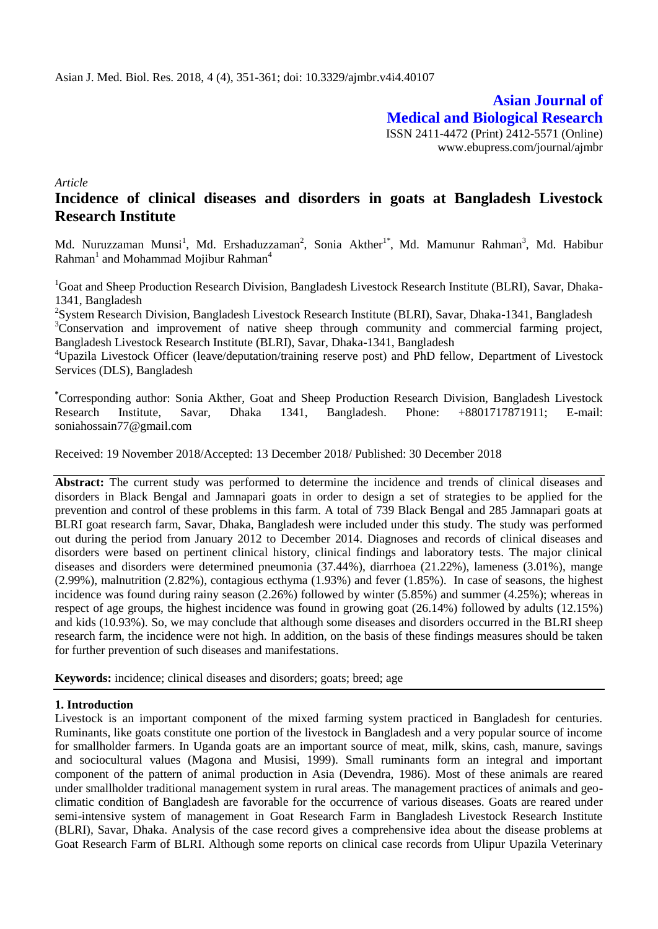**Asian Journal of Medical and Biological Research** ISSN 2411-4472 (Print) 2412-5571 (Online) www.ebupress.com/journal/ajmbr

*Article*

# **Incidence of clinical diseases and disorders in goats at Bangladesh Livestock Research Institute**

Md. Nuruzzaman Munsi<sup>1</sup>, Md. Ershaduzzaman<sup>2</sup>, Sonia Akther<sup>1\*</sup>, Md. Mamunur Rahman<sup>3</sup>, Md. Habibur  $\mathrm{Rahman}^1$  and Mohammad Mojibur  $\mathrm{Rahman}^4$ 

<sup>1</sup>Goat and Sheep Production Research Division, Bangladesh Livestock Research Institute (BLRI), Savar, Dhaka-1341, Bangladesh

<sup>2</sup>System Research Division, Bangladesh Livestock Research Institute (BLRI), Savar, Dhaka-1341, Bangladesh <sup>3</sup>Conservation and improvement of native sheep through community and commercial farming project, Bangladesh Livestock Research Institute (BLRI), Savar, Dhaka-1341, Bangladesh

<sup>4</sup>Upazila Livestock Officer (leave/deputation/training reserve post) and PhD fellow, Department of Livestock Services (DLS), Bangladesh

**\***Corresponding author: Sonia Akther, Goat and Sheep Production Research Division, Bangladesh Livestock Research Institute, Savar, Dhaka 1341, Bangladesh. Phone: +8801717871911; E-mail: soniahossain77@gmail.com

Received: 19 November 2018/Accepted: 13 December 2018/ Published: 30 December 2018

**Abstract:** The current study was performed to determine the incidence and trends of clinical diseases and disorders in Black Bengal and Jamnapari goats in order to design a set of strategies to be applied for the prevention and control of these problems in this farm. A total of 739 Black Bengal and 285 Jamnapari goats at BLRI goat research farm, Savar, Dhaka, Bangladesh were included under this study. The study was performed out during the period from January 2012 to December 2014. Diagnoses and records of clinical diseases and disorders were based on pertinent clinical history, clinical findings and laboratory tests. The major clinical diseases and disorders were determined pneumonia (37.44%), diarrhoea (21.22%), lameness (3.01%), mange (2.99%), malnutrition (2.82%), contagious ecthyma (1.93%) and fever (1.85%). In case of seasons, the highest incidence was found during rainy season (2.26%) followed by winter (5.85%) and summer (4.25%); whereas in respect of age groups, the highest incidence was found in growing goat (26.14%) followed by adults (12.15%) and kids (10.93%). So, we may conclude that although some diseases and disorders occurred in the BLRI sheep research farm, the incidence were not high. In addition, on the basis of these findings measures should be taken for further prevention of such diseases and manifestations.

**Keywords:** incidence; clinical diseases and disorders; goats; breed; age

### **1. Introduction**

Livestock is an important component of the mixed farming system practiced in Bangladesh for centuries. Ruminants, like goats constitute one portion of the livestock in Bangladesh and a very popular source of income for smallholder farmers. In Uganda goats are an important source of meat, milk, skins, cash, manure, savings and sociocultural values (Magona and Musisi, 1999). Small ruminants form an integral and important component of the pattern of animal production in Asia (Devendra, 1986). Most of these animals are reared under smallholder traditional management system in rural areas. The management practices of animals and geoclimatic condition of Bangladesh are favorable for the occurrence of various diseases. Goats are reared under semi-intensive system of management in Goat Research Farm in Bangladesh Livestock Research Institute (BLRI), Savar, Dhaka. Analysis of the case record gives a comprehensive idea about the disease problems at Goat Research Farm of BLRI. Although some reports on clinical case records from Ulipur Upazila Veterinary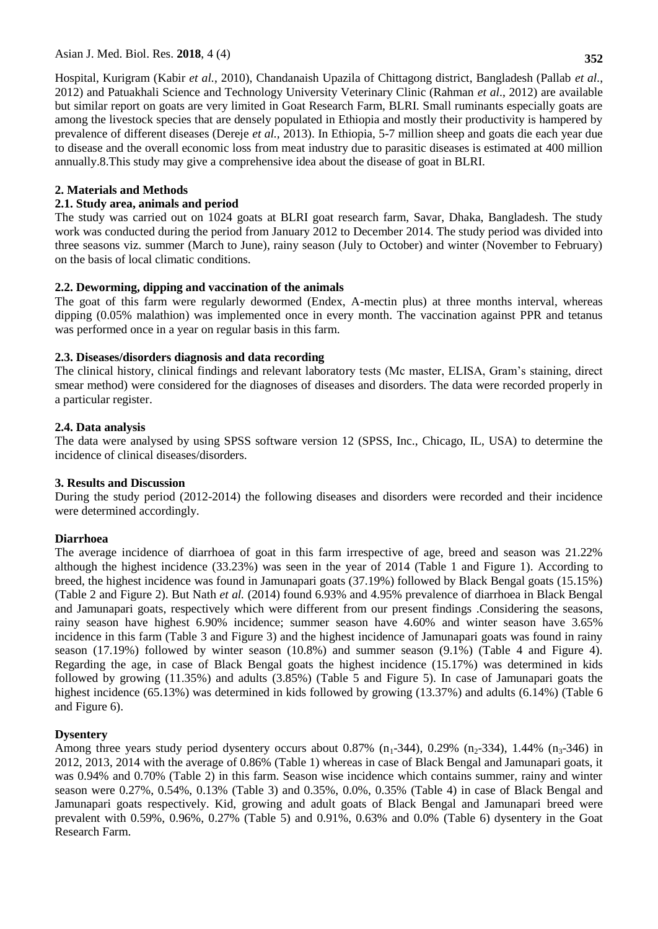Hospital, Kurigram (Kabir *et al.*, 2010), Chandanaish Upazila of Chittagong district, Bangladesh (Pallab *et al.*, 2012) and Patuakhali Science and Technology University Veterinary Clinic (Rahman *et al*., 2012) are available but similar report on goats are very limited in Goat Research Farm, BLRI. Small ruminants especially goats are among the livestock species that are densely populated in Ethiopia and mostly their productivity is hampered by prevalence of different diseases (Dereje *et al.,* 2013). In Ethiopia, 5-7 million sheep and goats die each year due to disease and the overall economic loss from meat industry due to parasitic diseases is estimated at 400 million annually.8.This study may give a comprehensive idea about the disease of goat in BLRI.

# **2. Materials and Methods**

### **2.1. Study area, animals and period**

The study was carried out on 1024 goats at BLRI goat research farm, Savar, Dhaka, Bangladesh. The study work was conducted during the period from January 2012 to December 2014. The study period was divided into three seasons viz. summer (March to June), rainy season (July to October) and winter (November to February) on the basis of local climatic conditions.

### **2.2. Deworming, dipping and vaccination of the animals**

The goat of this farm were regularly dewormed (Endex, A-mectin plus) at three months interval, whereas dipping (0.05% malathion) was implemented once in every month. The vaccination against PPR and tetanus was performed once in a year on regular basis in this farm.

# **2.3. Diseases/disorders diagnosis and data recording**

The clinical history, clinical findings and relevant laboratory tests (Mc master, ELISA, Gram's staining, direct smear method) were considered for the diagnoses of diseases and disorders. The data were recorded properly in a particular register.

# **2.4. Data analysis**

The data were analysed by using SPSS software version 12 (SPSS, Inc., Chicago, IL, USA) to determine the incidence of clinical diseases/disorders.

### **3. Results and Discussion**

During the study period (2012-2014) the following diseases and disorders were recorded and their incidence were determined accordingly.

### **Diarrhoea**

The average incidence of diarrhoea of goat in this farm irrespective of age, breed and season was 21.22% although the highest incidence (33.23%) was seen in the year of 2014 (Table 1 and Figure 1). According to breed, the highest incidence was found in Jamunapari goats (37.19%) followed by Black Bengal goats (15.15%) (Table 2 and Figure 2). But Nath *et al.* (2014) found 6.93% and 4.95% prevalence of diarrhoea in Black Bengal and Jamunapari goats, respectively which were different from our present findings .Considering the seasons, rainy season have highest 6.90% incidence; summer season have 4.60% and winter season have 3.65% incidence in this farm (Table 3 and Figure 3) and the highest incidence of Jamunapari goats was found in rainy season (17.19%) followed by winter season (10.8%) and summer season (9.1%) (Table 4 and Figure 4). Regarding the age, in case of Black Bengal goats the highest incidence (15.17%) was determined in kids followed by growing (11.35%) and adults (3.85%) (Table 5 and Figure 5). In case of Jamunapari goats the highest incidence (65.13%) was determined in kids followed by growing (13.37%) and adults (6.14%) (Table 6 and Figure 6).

### **Dysentery**

Among three years study period dysentery occurs about 0.87%  $(n_1-344)$ , 0.29%  $(n_2-334)$ , 1.44%  $(n_3-346)$  in 2012, 2013, 2014 with the average of 0.86% (Table 1) whereas in case of Black Bengal and Jamunapari goats, it was 0.94% and 0.70% (Table 2) in this farm. Season wise incidence which contains summer, rainy and winter season were 0.27%, 0.54%, 0.13% (Table 3) and 0.35%, 0.0%, 0.35% (Table 4) in case of Black Bengal and Jamunapari goats respectively. Kid, growing and adult goats of Black Bengal and Jamunapari breed were prevalent with 0.59%, 0.96%, 0.27% (Table 5) and 0.91%, 0.63% and 0.0% (Table 6) dysentery in the Goat Research Farm.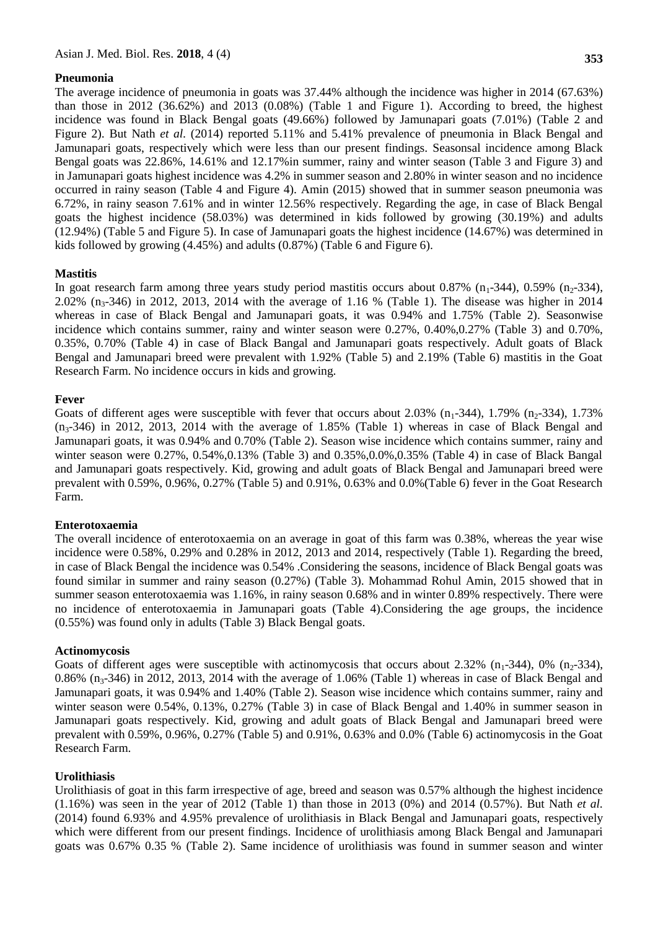The average incidence of pneumonia in goats was 37.44% although the incidence was higher in 2014 (67.63%) than those in 2012 (36.62%) and 2013 (0.08%) (Table 1 and Figure 1). According to breed, the highest incidence was found in Black Bengal goats (49.66%) followed by Jamunapari goats (7.01%) (Table 2 and Figure 2). But Nath *et al.* (2014) reported 5.11% and 5.41% prevalence of pneumonia in Black Bengal and Jamunapari goats, respectively which were less than our present findings. Seasonsal incidence among Black Bengal goats was 22.86%, 14.61% and 12.17%in summer, rainy and winter season (Table 3 and Figure 3) and in Jamunapari goats highest incidence was 4.2% in summer season and 2.80% in winter season and no incidence occurred in rainy season (Table 4 and Figure 4). Amin (2015) showed that in summer season pneumonia was 6.72%, in rainy season 7.61% and in winter 12.56% respectively. Regarding the age, in case of Black Bengal goats the highest incidence (58.03%) was determined in kids followed by growing (30.19%) and adults (12.94%) (Table 5 and Figure 5). In case of Jamunapari goats the highest incidence (14.67%) was determined in kids followed by growing (4.45%) and adults (0.87%) (Table 6 and Figure 6).

### **Mastitis**

In goat research farm among three years study period mastitis occurs about  $0.87\%$  (n<sub>1</sub>-344), 0.59% (n<sub>2</sub>-334), 2.02%  $(n_3-346)$  in 2012, 2013, 2014 with the average of 1.16 % (Table 1). The disease was higher in 2014 whereas in case of Black Bengal and Jamunapari goats, it was 0.94% and 1.75% (Table 2). Seasonwise incidence which contains summer, rainy and winter season were 0.27%, 0.40%,0.27% (Table 3) and 0.70%, 0.35%, 0.70% (Table 4) in case of Black Bangal and Jamunapari goats respectively. Adult goats of Black Bengal and Jamunapari breed were prevalent with 1.92% (Table 5) and 2.19% (Table 6) mastitis in the Goat Research Farm. No incidence occurs in kids and growing.

### **Fever**

Goats of different ages were susceptible with fever that occurs about 2.03%  $(n_1-344)$ , 1.79%  $(n_2-334)$ , 1.73%  $(n<sub>3</sub>-346)$  in 2012, 2013, 2014 with the average of 1.85% (Table 1) whereas in case of Black Bengal and Jamunapari goats, it was 0.94% and 0.70% (Table 2). Season wise incidence which contains summer, rainy and winter season were 0.27%, 0.54%,0.13% (Table 3) and 0.35%,0.0%,0.35% (Table 4) in case of Black Bangal and Jamunapari goats respectively. Kid, growing and adult goats of Black Bengal and Jamunapari breed were prevalent with 0.59%, 0.96%, 0.27% (Table 5) and 0.91%, 0.63% and 0.0%(Table 6) fever in the Goat Research Farm.

### **Enterotoxaemia**

The overall incidence of enterotoxaemia on an average in goat of this farm was 0.38%, whereas the year wise incidence were 0.58%, 0.29% and 0.28% in 2012, 2013 and 2014, respectively (Table 1). Regarding the breed, in case of Black Bengal the incidence was 0.54% .Considering the seasons, incidence of Black Bengal goats was found similar in summer and rainy season (0.27%) (Table 3). Mohammad Rohul Amin, 2015 showed that in summer season enterotoxaemia was 1.16%, in rainy season 0.68% and in winter 0.89% respectively. There were no incidence of enterotoxaemia in Jamunapari goats (Table 4).Considering the age groups, the incidence (0.55%) was found only in adults (Table 3) Black Bengal goats.

### **Actinomycosis**

Goats of different ages were susceptible with actinomycosis that occurs about 2.32%  $(n_1-344)$ , 0%  $(n_2-334)$ ,  $0.86\%$  (n<sub>3</sub>-346) in 2012, 2013, 2014 with the average of 1.06% (Table 1) whereas in case of Black Bengal and Jamunapari goats, it was 0.94% and 1.40% (Table 2). Season wise incidence which contains summer, rainy and winter season were 0.54%, 0.13%, 0.27% (Table 3) in case of Black Bengal and 1.40% in summer season in Jamunapari goats respectively. Kid, growing and adult goats of Black Bengal and Jamunapari breed were prevalent with 0.59%, 0.96%, 0.27% (Table 5) and 0.91%, 0.63% and 0.0% (Table 6) actinomycosis in the Goat Research Farm.

### **Urolithiasis**

Urolithiasis of goat in this farm irrespective of age, breed and season was 0.57% although the highest incidence (1.16%) was seen in the year of 2012 (Table 1) than those in 2013 (0%) and 2014 (0.57%). But Nath *et al.* (2014) found 6.93% and 4.95% prevalence of urolithiasis in Black Bengal and Jamunapari goats, respectively which were different from our present findings. Incidence of urolithiasis among Black Bengal and Jamunapari goats was 0.67% 0.35 % (Table 2). Same incidence of urolithiasis was found in summer season and winter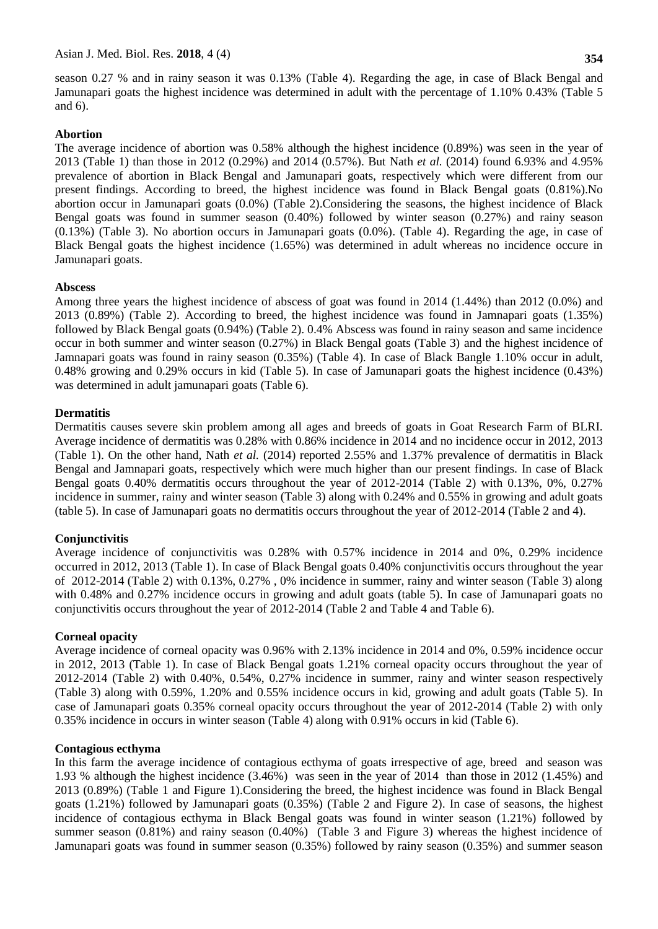season 0.27 % and in rainy season it was 0.13% (Table 4). Regarding the age, in case of Black Bengal and Jamunapari goats the highest incidence was determined in adult with the percentage of 1.10% 0.43% (Table 5 and 6).

#### **Abortion**

The average incidence of abortion was 0.58% although the highest incidence (0.89%) was seen in the year of 2013 (Table 1) than those in 2012 (0.29%) and 2014 (0.57%). But Nath *et al.* (2014) found 6.93% and 4.95% prevalence of abortion in Black Bengal and Jamunapari goats, respectively which were different from our present findings. According to breed, the highest incidence was found in Black Bengal goats (0.81%).No abortion occur in Jamunapari goats (0.0%) (Table 2).Considering the seasons, the highest incidence of Black Bengal goats was found in summer season (0.40%) followed by winter season (0.27%) and rainy season (0.13%) (Table 3). No abortion occurs in Jamunapari goats (0.0%). (Table 4). Regarding the age, in case of Black Bengal goats the highest incidence (1.65%) was determined in adult whereas no incidence occure in Jamunapari goats.

#### **Abscess**

Among three years the highest incidence of abscess of goat was found in 2014 (1.44%) than 2012 (0.0%) and 2013 (0.89%) (Table 2). According to breed, the highest incidence was found in Jamnapari goats (1.35%) followed by Black Bengal goats (0.94%) (Table 2). 0.4% Abscess was found in rainy season and same incidence occur in both summer and winter season (0.27%) in Black Bengal goats (Table 3) and the highest incidence of Jamnapari goats was found in rainy season (0.35%) (Table 4). In case of Black Bangle 1.10% occur in adult, 0.48% growing and 0.29% occurs in kid (Table 5). In case of Jamunapari goats the highest incidence (0.43%) was determined in adult jamunapari goats (Table 6).

### **Dermatitis**

Dermatitis causes severe skin problem among all ages and breeds of goats in Goat Research Farm of BLRI. Average incidence of dermatitis was 0.28% with 0.86% incidence in 2014 and no incidence occur in 2012, 2013 (Table 1). On the other hand, Nath *et al.* (2014) reported 2.55% and 1.37% prevalence of dermatitis in Black Bengal and Jamnapari goats, respectively which were much higher than our present findings. In case of Black Bengal goats 0.40% dermatitis occurs throughout the year of 2012-2014 (Table 2) with 0.13%, 0%, 0.27% incidence in summer, rainy and winter season (Table 3) along with 0.24% and 0.55% in growing and adult goats (table 5). In case of Jamunapari goats no dermatitis occurs throughout the year of 2012-2014 (Table 2 and 4).

### **Conjunctivitis**

Average incidence of conjunctivitis was 0.28% with 0.57% incidence in 2014 and 0%, 0.29% incidence occurred in 2012, 2013 (Table 1). In case of Black Bengal goats 0.40% conjunctivitis occurs throughout the year of 2012-2014 (Table 2) with 0.13%, 0.27% , 0% incidence in summer, rainy and winter season (Table 3) along with 0.48% and 0.27% incidence occurs in growing and adult goats (table 5). In case of Jamunapari goats no conjunctivitis occurs throughout the year of 2012-2014 (Table 2 and Table 4 and Table 6).

### **Corneal opacity**

Average incidence of corneal opacity was 0.96% with 2.13% incidence in 2014 and 0%, 0.59% incidence occur in 2012, 2013 (Table 1). In case of Black Bengal goats 1.21% corneal opacity occurs throughout the year of 2012-2014 (Table 2) with 0.40%, 0.54%, 0.27% incidence in summer, rainy and winter season respectively (Table 3) along with 0.59%, 1.20% and 0.55% incidence occurs in kid, growing and adult goats (Table 5). In case of Jamunapari goats 0.35% corneal opacity occurs throughout the year of 2012-2014 (Table 2) with only 0.35% incidence in occurs in winter season (Table 4) along with 0.91% occurs in kid (Table 6).

#### **Contagious ecthyma**

In this farm the average incidence of contagious ecthyma of goats irrespective of age, breed and season was 1.93 % although the highest incidence (3.46%) was seen in the year of 2014 than those in 2012 (1.45%) and 2013 (0.89%) (Table 1 and Figure 1).Considering the breed, the highest incidence was found in Black Bengal goats (1.21%) followed by Jamunapari goats (0.35%) (Table 2 and Figure 2). In case of seasons, the highest incidence of contagious ecthyma in Black Bengal goats was found in winter season (1.21%) followed by summer season (0.81%) and rainy season (0.40%) (Table 3 and Figure 3) whereas the highest incidence of Jamunapari goats was found in summer season (0.35%) followed by rainy season (0.35%) and summer season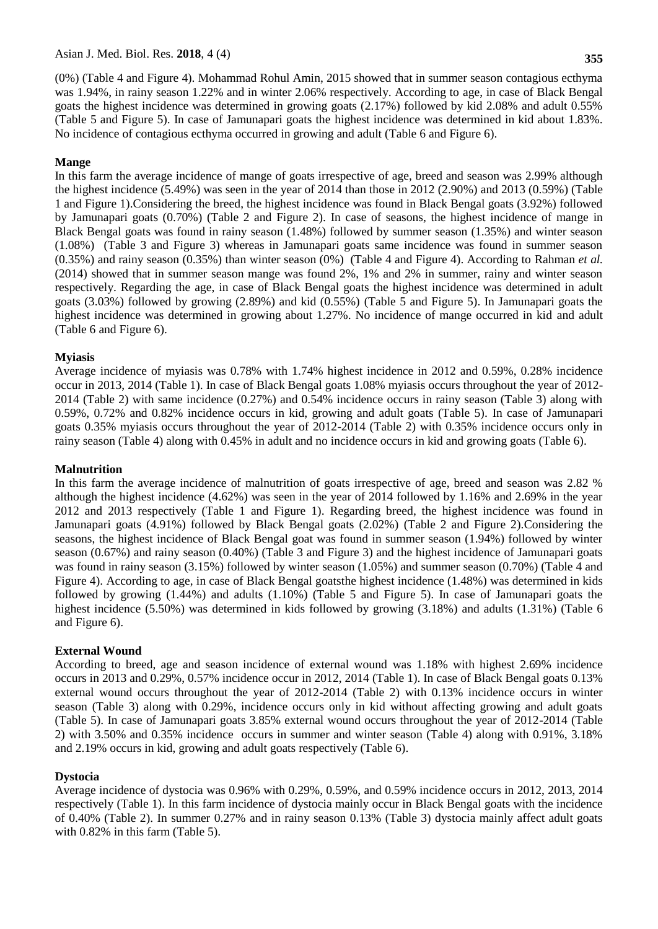(0%) (Table 4 and Figure 4). Mohammad Rohul Amin, 2015 showed that in summer season contagious ecthyma was 1.94%, in rainy season 1.22% and in winter 2.06% respectively. According to age, in case of Black Bengal goats the highest incidence was determined in growing goats (2.17%) followed by kid 2.08% and adult 0.55% (Table 5 and Figure 5). In case of Jamunapari goats the highest incidence was determined in kid about 1.83%. No incidence of contagious ecthyma occurred in growing and adult (Table 6 and Figure 6).

# **Mange**

In this farm the average incidence of mange of goats irrespective of age, breed and season was 2.99% although the highest incidence (5.49%) was seen in the year of 2014 than those in 2012 (2.90%) and 2013 (0.59%) (Table 1 and Figure 1).Considering the breed, the highest incidence was found in Black Bengal goats (3.92%) followed by Jamunapari goats (0.70%) (Table 2 and Figure 2). In case of seasons, the highest incidence of mange in Black Bengal goats was found in rainy season (1.48%) followed by summer season (1.35%) and winter season (1.08%) (Table 3 and Figure 3) whereas in Jamunapari goats same incidence was found in summer season (0.35%) and rainy season (0.35%) than winter season (0%) (Table 4 and Figure 4). According to Rahman *et al.* (2014) showed that in summer season mange was found 2%, 1% and 2% in summer, rainy and winter season respectively. Regarding the age, in case of Black Bengal goats the highest incidence was determined in adult goats (3.03%) followed by growing (2.89%) and kid (0.55%) (Table 5 and Figure 5). In Jamunapari goats the highest incidence was determined in growing about 1.27%. No incidence of mange occurred in kid and adult (Table 6 and Figure 6).

# **Myiasis**

Average incidence of myiasis was 0.78% with 1.74% highest incidence in 2012 and 0.59%, 0.28% incidence occur in 2013, 2014 (Table 1). In case of Black Bengal goats 1.08% myiasis occurs throughout the year of 2012- 2014 (Table 2) with same incidence (0.27%) and 0.54% incidence occurs in rainy season (Table 3) along with 0.59%, 0.72% and 0.82% incidence occurs in kid, growing and adult goats (Table 5). In case of Jamunapari goats 0.35% myiasis occurs throughout the year of 2012-2014 (Table 2) with 0.35% incidence occurs only in rainy season (Table 4) along with 0.45% in adult and no incidence occurs in kid and growing goats (Table 6).

### **Malnutrition**

In this farm the average incidence of malnutrition of goats irrespective of age, breed and season was 2.82 % although the highest incidence (4.62%) was seen in the year of 2014 followed by 1.16% and 2.69% in the year 2012 and 2013 respectively (Table 1 and Figure 1). Regarding breed, the highest incidence was found in Jamunapari goats (4.91%) followed by Black Bengal goats (2.02%) (Table 2 and Figure 2).Considering the seasons, the highest incidence of Black Bengal goat was found in summer season (1.94%) followed by winter season (0.67%) and rainy season (0.40%) (Table 3 and Figure 3) and the highest incidence of Jamunapari goats was found in rainy season (3.15%) followed by winter season (1.05%) and summer season (0.70%) (Table 4 and Figure 4). According to age, in case of Black Bengal goatsthe highest incidence (1.48%) was determined in kids followed by growing (1.44%) and adults (1.10%) (Table 5 and Figure 5). In case of Jamunapari goats the highest incidence (5.50%) was determined in kids followed by growing (3.18%) and adults (1.31%) (Table 6 and Figure 6).

### **External Wound**

According to breed, age and season incidence of external wound was 1.18% with highest 2.69% incidence occurs in 2013 and 0.29%, 0.57% incidence occur in 2012, 2014 (Table 1). In case of Black Bengal goats 0.13% external wound occurs throughout the year of 2012-2014 (Table 2) with 0.13% incidence occurs in winter season (Table 3) along with 0.29%, incidence occurs only in kid without affecting growing and adult goats (Table 5). In case of Jamunapari goats 3.85% external wound occurs throughout the year of 2012-2014 (Table 2) with 3.50% and 0.35% incidence occurs in summer and winter season (Table 4) along with 0.91%, 3.18% and 2.19% occurs in kid, growing and adult goats respectively (Table 6).

### **Dystocia**

Average incidence of dystocia was 0.96% with 0.29%, 0.59%, and 0.59% incidence occurs in 2012, 2013, 2014 respectively (Table 1). In this farm incidence of dystocia mainly occur in Black Bengal goats with the incidence of 0.40% (Table 2). In summer 0.27% and in rainy season 0.13% (Table 3) dystocia mainly affect adult goats with 0.82% in this farm (Table 5).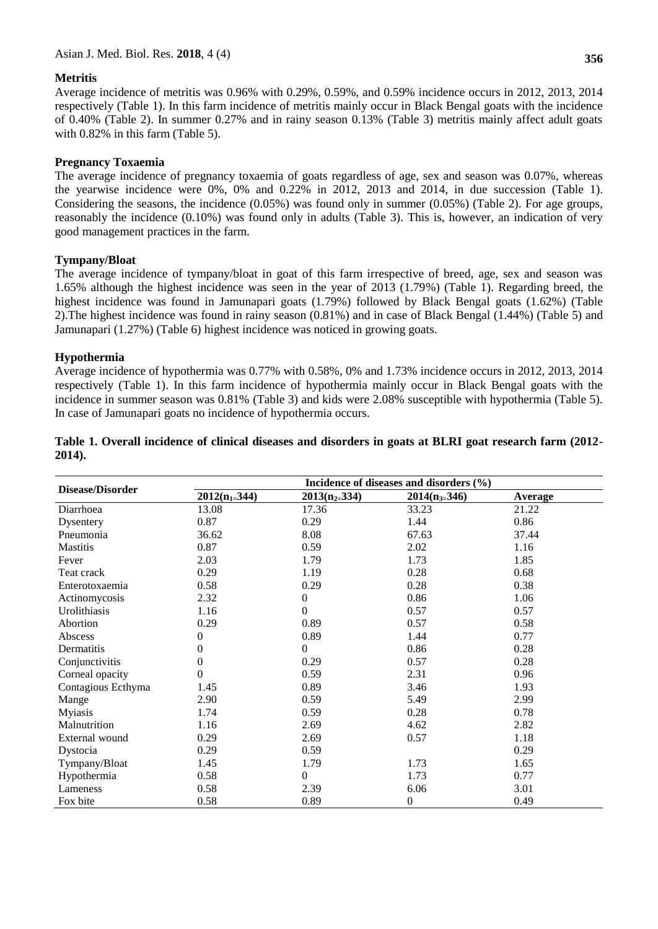# **Metritis**

Average incidence of metritis was 0.96% with 0.29%, 0.59%, and 0.59% incidence occurs in 2012, 2013, 2014 respectively (Table 1). In this farm incidence of metritis mainly occur in Black Bengal goats with the incidence of 0.40% (Table 2). In summer 0.27% and in rainy season 0.13% (Table 3) metritis mainly affect adult goats with 0.82% in this farm (Table 5).

# **Pregnancy Toxaemia**

The average incidence of pregnancy toxaemia of goats regardless of age, sex and season was 0.07%, whereas the yearwise incidence were 0%, 0% and 0.22% in 2012, 2013 and 2014, in due succession (Table 1). Considering the seasons, the incidence (0.05%) was found only in summer (0.05%) (Table 2). For age groups, reasonably the incidence (0.10%) was found only in adults (Table 3). This is, however, an indication of very good management practices in the farm.

# **Tympany/Bloat**

The average incidence of tympany/bloat in goat of this farm irrespective of breed, age, sex and season was 1.65% although the highest incidence was seen in the year of 2013 (1.79%) (Table 1). Regarding breed, the highest incidence was found in Jamunapari goats (1.79%) followed by Black Bengal goats (1.62%) (Table 2).The highest incidence was found in rainy season (0.81%) and in case of Black Bengal (1.44%) (Table 5) and Jamunapari (1.27%) (Table 6) highest incidence was noticed in growing goats.

# **Hypothermia**

Average incidence of hypothermia was 0.77% with 0.58%, 0% and 1.73% incidence occurs in 2012, 2013, 2014 respectively (Table 1). In this farm incidence of hypothermia mainly occur in Black Bengal goats with the incidence in summer season was 0.81% (Table 3) and kids were 2.08% susceptible with hypothermia (Table 5). In case of Jamunapari goats no incidence of hypothermia occurs.

| Disease/Disorder   | Incidence of diseases and disorders (%) |                   |                   |         |  |  |
|--------------------|-----------------------------------------|-------------------|-------------------|---------|--|--|
|                    | $2012(n_{1=}344)$                       | $2013(n_{2}=334)$ | $2014(n_{3=}346)$ | Average |  |  |
| Diarrhoea          | 13.08                                   | 17.36             | 33.23             | 21.22   |  |  |
| Dysentery          | 0.87                                    | 0.29              | 1.44              | 0.86    |  |  |
| Pneumonia          | 36.62                                   | 8.08              | 67.63             | 37.44   |  |  |
| <b>Mastitis</b>    | 0.87                                    | 0.59              | 2.02              | 1.16    |  |  |
| Fever              | 2.03                                    | 1.79              | 1.73              | 1.85    |  |  |
| Teat crack         | 0.29                                    | 1.19              | 0.28              | 0.68    |  |  |
| Enterotoxaemia     | 0.58                                    | 0.29              | 0.28              | 0.38    |  |  |
| Actinomycosis      | 2.32                                    | $\boldsymbol{0}$  | 0.86              | 1.06    |  |  |
| Urolithiasis       | 1.16                                    | $\overline{0}$    | 0.57              | 0.57    |  |  |
| Abortion           | 0.29                                    | 0.89              | 0.57              | 0.58    |  |  |
| Abscess            | 0                                       | 0.89              | 1.44              | 0.77    |  |  |
| Dermatitis         | 0                                       | $\overline{0}$    | 0.86              | 0.28    |  |  |
| Conjunctivitis     | 0                                       | 0.29              | 0.57              | 0.28    |  |  |
| Corneal opacity    | 0                                       | 0.59              | 2.31              | 0.96    |  |  |
| Contagious Ecthyma | 1.45                                    | 0.89              | 3.46              | 1.93    |  |  |
| Mange              | 2.90                                    | 0.59              | 5.49              | 2.99    |  |  |
| <b>Myiasis</b>     | 1.74                                    | 0.59              | 0.28              | 0.78    |  |  |
| Malnutrition       | 1.16                                    | 2.69              | 4.62              | 2.82    |  |  |
| External wound     | 0.29                                    | 2.69              | 0.57              | 1.18    |  |  |
| Dystocia           | 0.29                                    | 0.59              |                   | 0.29    |  |  |
| Tympany/Bloat      | 1.45                                    | 1.79              | 1.73              | 1.65    |  |  |
| Hypothermia        | 0.58                                    | 0                 | 1.73              | 0.77    |  |  |
| Lameness           | 0.58                                    | 2.39              | 6.06              | 3.01    |  |  |
| Fox bite           | 0.58                                    | 0.89              | $\boldsymbol{0}$  | 0.49    |  |  |

|        | Table 1. Overall incidence of clinical diseases and disorders in goats at BLRI goat research farm (2012- |  |  |  |  |  |  |
|--------|----------------------------------------------------------------------------------------------------------|--|--|--|--|--|--|
| 2014). |                                                                                                          |  |  |  |  |  |  |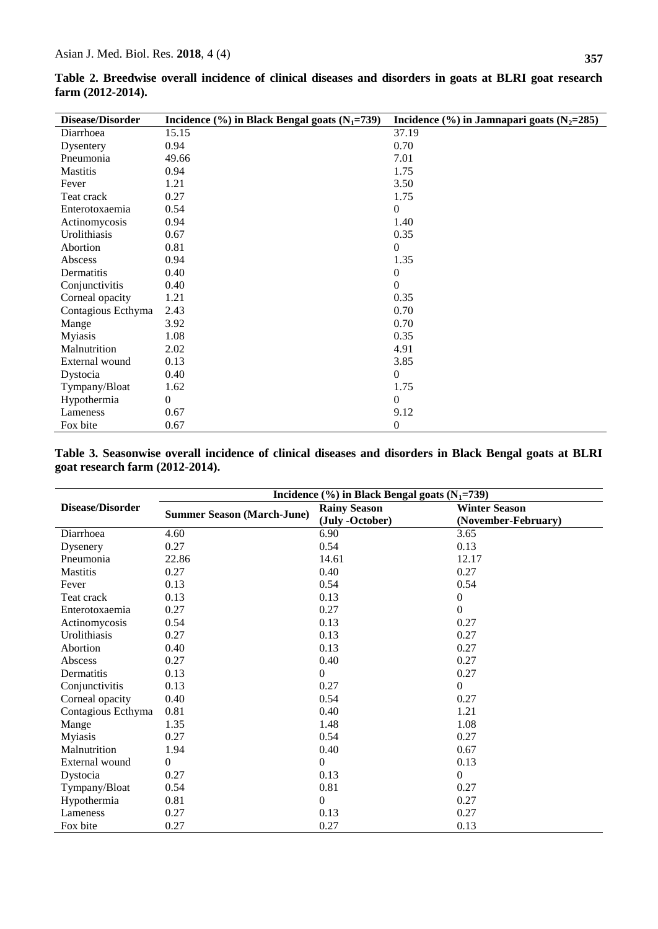| Disease/Disorder   | Incidence $(\%)$ in Black Bengal goats $(N_1=739)$ | Incidence $(\% )$ in Jamnapari goats (N <sub>2</sub> =285) |
|--------------------|----------------------------------------------------|------------------------------------------------------------|
| Diarrhoea          | 15.15                                              | 37.19                                                      |
| Dysentery          | 0.94                                               | 0.70                                                       |
| Pneumonia          | 49.66                                              | 7.01                                                       |
| <b>Mastitis</b>    | 0.94                                               | 1.75                                                       |
| Fever              | 1.21                                               | 3.50                                                       |
| Teat crack         | 0.27                                               | 1.75                                                       |
| Enterotoxaemia     | 0.54                                               | $\boldsymbol{0}$                                           |
| Actinomycosis      | 0.94                                               | 1.40                                                       |
| Urolithiasis       | 0.67                                               | 0.35                                                       |
| Abortion           | 0.81                                               | $\boldsymbol{0}$                                           |
| Abscess            | 0.94                                               | 1.35                                                       |
| Dermatitis         | 0.40                                               | $\boldsymbol{0}$                                           |
| Conjunctivitis     | 0.40                                               | $\theta$                                                   |
| Corneal opacity    | 1.21                                               | 0.35                                                       |
| Contagious Ecthyma | 2.43                                               | 0.70                                                       |
| Mange              | 3.92                                               | 0.70                                                       |
| <b>Myiasis</b>     | 1.08                                               | 0.35                                                       |
| Malnutrition       | 2.02                                               | 4.91                                                       |
| External wound     | 0.13                                               | 3.85                                                       |
| Dystocia           | 0.40                                               | $\boldsymbol{0}$                                           |
| Tympany/Bloat      | 1.62                                               | 1.75                                                       |
| Hypothermia        | $\theta$                                           | $\boldsymbol{0}$                                           |
| Lameness           | 0.67                                               | 9.12                                                       |
| Fox bite           | 0.67                                               | $\mathbf{0}$                                               |

**Table 2. Breedwise overall incidence of clinical diseases and disorders in goats at BLRI goat research farm (2012-2014).** 

**Table 3. Seasonwise overall incidence of clinical diseases and disorders in Black Bengal goats at BLRI goat research farm (2012-2014).** 

|                    | Incidence $(\% )$ in Black Bengal goats $(N_1=739)$ |                                        |                                             |  |  |  |
|--------------------|-----------------------------------------------------|----------------------------------------|---------------------------------------------|--|--|--|
| Disease/Disorder   | <b>Summer Season (March-June)</b>                   | <b>Rainy Season</b><br>(July -October) | <b>Winter Season</b><br>(November-February) |  |  |  |
| Diarrhoea          | 4.60                                                | 6.90                                   | 3.65                                        |  |  |  |
| Dysenery           | 0.27                                                | 0.54                                   | 0.13                                        |  |  |  |
| Pneumonia          | 22.86                                               | 14.61                                  | 12.17                                       |  |  |  |
| <b>Mastitis</b>    | 0.27                                                | 0.40                                   | 0.27                                        |  |  |  |
| Fever              | 0.13                                                | 0.54                                   | 0.54                                        |  |  |  |
| Teat crack         | 0.13                                                | 0.13                                   | 0                                           |  |  |  |
| Enterotoxaemia     | 0.27                                                | 0.27                                   | 0                                           |  |  |  |
| Actinomycosis      | 0.54                                                | 0.13                                   | 0.27                                        |  |  |  |
| Urolithiasis       | 0.27                                                | 0.13                                   | 0.27                                        |  |  |  |
| Abortion           | 0.40                                                | 0.13                                   | 0.27                                        |  |  |  |
| Abscess            | 0.27                                                | 0.40                                   | 0.27                                        |  |  |  |
| Dermatitis         | 0.13                                                | $\boldsymbol{0}$                       | 0.27                                        |  |  |  |
| Conjunctivitis     | 0.13                                                | 0.27                                   | $\Omega$                                    |  |  |  |
| Corneal opacity    | 0.40                                                | 0.54                                   | 0.27                                        |  |  |  |
| Contagious Ecthyma | 0.81                                                | 0.40                                   | 1.21                                        |  |  |  |
| Mange              | 1.35                                                | 1.48                                   | 1.08                                        |  |  |  |
| <b>Myiasis</b>     | 0.27                                                | 0.54                                   | 0.27                                        |  |  |  |
| Malnutrition       | 1.94                                                | 0.40                                   | 0.67                                        |  |  |  |
| External wound     | 0                                                   | $\overline{0}$                         | 0.13                                        |  |  |  |
| Dystocia           | 0.27                                                | 0.13                                   | $\Omega$                                    |  |  |  |
| Tympany/Bloat      | 0.54                                                | 0.81                                   | 0.27                                        |  |  |  |
| Hypothermia        | 0.81                                                | $\overline{0}$                         | 0.27                                        |  |  |  |
| Lameness           | 0.27                                                | 0.13                                   | 0.27                                        |  |  |  |
| Fox bite           | 0.27                                                | 0.27                                   | 0.13                                        |  |  |  |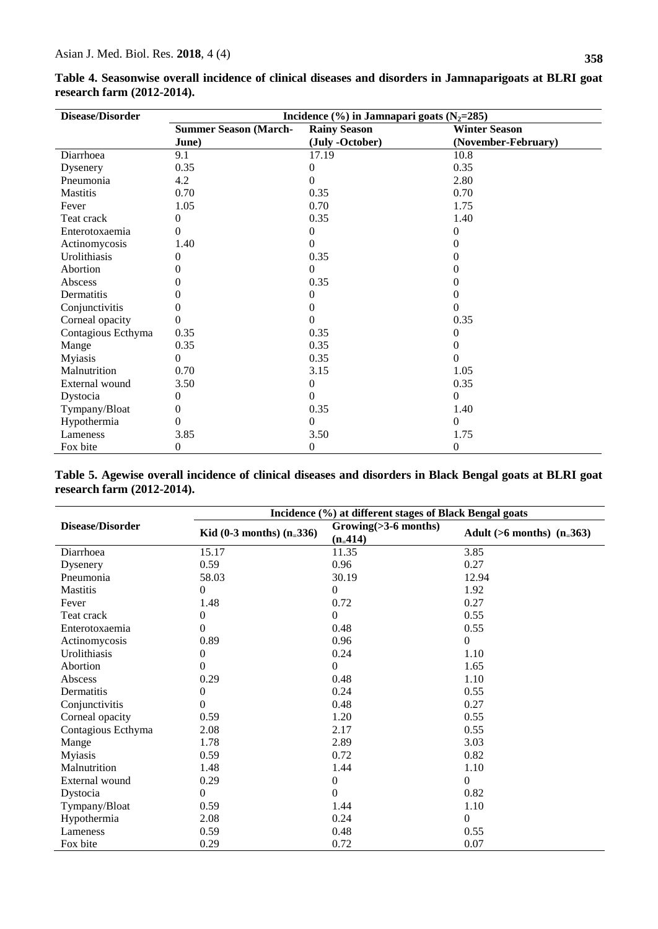| <b>Disease/Disorder</b> | Incidence $(\% )$ in Jamnapari goats (N <sub>2</sub> =285) |                     |                      |  |
|-------------------------|------------------------------------------------------------|---------------------|----------------------|--|
|                         | <b>Summer Season (March-</b>                               | <b>Rainy Season</b> | <b>Winter Season</b> |  |
|                         | June)                                                      | (July -October)     | (November-February)  |  |
| Diarrhoea               | 9.1                                                        | 17.19               | 10.8                 |  |
| Dysenery                | 0.35                                                       | 0                   | 0.35                 |  |
| Pneumonia               | 4.2                                                        | 0                   | 2.80                 |  |
| <b>Mastitis</b>         | 0.70                                                       | 0.35                | 0.70                 |  |
| Fever                   | 1.05                                                       | 0.70                | 1.75                 |  |
| Teat crack              | $\Omega$                                                   | 0.35                | 1.40                 |  |
| Enterotoxaemia          | 0                                                          | 0                   | 0                    |  |
| Actinomycosis           | 1.40                                                       | $\Omega$            |                      |  |
| Urolithiasis            | $\Omega$                                                   | 0.35                |                      |  |
| Abortion                | 0                                                          | $\Omega$            |                      |  |
| Abscess                 | 0                                                          | 0.35                |                      |  |
| Dermatitis              |                                                            | 0                   |                      |  |
| Conjunctivitis          | 0                                                          | 0                   | $\Omega$             |  |
| Corneal opacity         | 0                                                          | 0                   | 0.35                 |  |
| Contagious Ecthyma      | 0.35                                                       | 0.35                | $\Omega$             |  |
| Mange                   | 0.35                                                       | 0.35                | $\mathbf{0}$         |  |
| <b>Myiasis</b>          | $\Omega$                                                   | 0.35                | 0                    |  |
| Malnutrition            | 0.70                                                       | 3.15                | 1.05                 |  |
| External wound          | 3.50                                                       | 0                   | 0.35                 |  |
| Dystocia                | $\Omega$                                                   | 0                   | $\Omega$             |  |
| Tympany/Bloat           | 0                                                          | 0.35                | 1.40                 |  |
| Hypothermia             | 0                                                          | 0                   | $\Omega$             |  |
| Lameness                | 3.85                                                       | 3.50                | 1.75                 |  |
| Fox bite                | $\theta$                                                   | $\overline{0}$      | $\mathbf{0}$         |  |

**Table 4. Seasonwise overall incidence of clinical diseases and disorders in Jamnaparigoats at BLRI goat research farm (2012-2014).** 

**Table 5. Agewise overall incidence of clinical diseases and disorders in Black Bengal goats at BLRI goat research farm (2012-2014).** 

|                         | Incidence (%) at different stages of Black Bengal goats |                      |                                 |  |  |  |
|-------------------------|---------------------------------------------------------|----------------------|---------------------------------|--|--|--|
| <b>Disease/Disorder</b> | Kid $(0-3$ months) $(n_336)$                            | $Group(>3-6 months)$ | Adult ( $>6$ months) $(n_3363)$ |  |  |  |
|                         |                                                         | $(n_414)$            |                                 |  |  |  |
| Diarrhoea               | 15.17                                                   | 11.35                | 3.85                            |  |  |  |
| Dysenery                | 0.59                                                    | 0.96                 | 0.27                            |  |  |  |
| Pneumonia               | 58.03                                                   | 30.19                | 12.94                           |  |  |  |
| <b>Mastitis</b>         | $\boldsymbol{0}$                                        | $\boldsymbol{0}$     | 1.92                            |  |  |  |
| Fever                   | 1.48                                                    | 0.72                 | 0.27                            |  |  |  |
| Teat crack              | $\boldsymbol{0}$                                        | $\boldsymbol{0}$     | 0.55                            |  |  |  |
| Enterotoxaemia          | $\boldsymbol{0}$                                        | 0.48                 | 0.55                            |  |  |  |
| Actinomycosis           | 0.89                                                    | 0.96                 | $\Omega$                        |  |  |  |
| Urolithiasis            | $\boldsymbol{0}$                                        | 0.24                 | 1.10                            |  |  |  |
| Abortion                | $\Omega$                                                | $\Omega$             | 1.65                            |  |  |  |
| Abscess                 | 0.29                                                    | 0.48                 | 1.10                            |  |  |  |
| Dermatitis              | $\mathbf{0}$                                            | 0.24                 | 0.55                            |  |  |  |
| Conjunctivitis          | $\mathbf{0}$                                            | 0.48                 | 0.27                            |  |  |  |
| Corneal opacity         | 0.59                                                    | 1.20                 | 0.55                            |  |  |  |
| Contagious Ecthyma      | 2.08                                                    | 2.17                 | 0.55                            |  |  |  |
| Mange                   | 1.78                                                    | 2.89                 | 3.03                            |  |  |  |
| <b>Myiasis</b>          | 0.59                                                    | 0.72                 | 0.82                            |  |  |  |
| Malnutrition            | 1.48                                                    | 1.44                 | 1.10                            |  |  |  |
| External wound          | 0.29                                                    | $\boldsymbol{0}$     | $\overline{0}$                  |  |  |  |
| Dystocia                | $\Omega$                                                | $\boldsymbol{0}$     | 0.82                            |  |  |  |
| Tympany/Bloat           | 0.59                                                    | 1.44                 | 1.10                            |  |  |  |
| Hypothermia             | 2.08                                                    | 0.24                 | $\boldsymbol{0}$                |  |  |  |
| Lameness                | 0.59                                                    | 0.48                 | 0.55                            |  |  |  |
| Fox bite                | 0.29                                                    | 0.72                 | 0.07                            |  |  |  |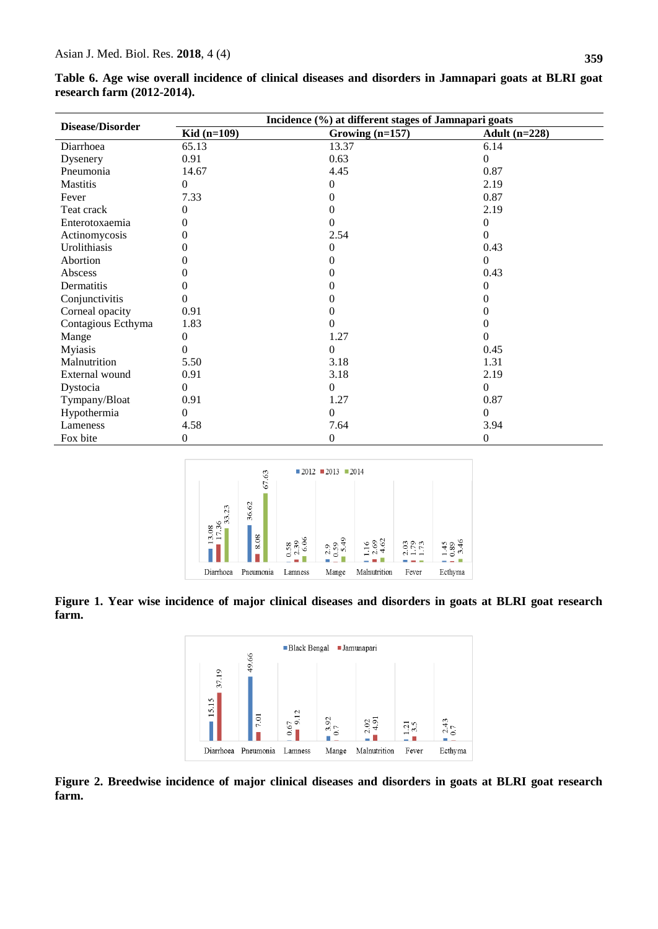|                    | Incidence (%) at different stages of Jamnapari goats |                   |                 |  |  |  |
|--------------------|------------------------------------------------------|-------------------|-----------------|--|--|--|
| Disease/Disorder   | Kid $(n=109)$                                        | Growing $(n=157)$ | Adult $(n=228)$ |  |  |  |
| Diarrhoea          | 65.13                                                | 13.37             | 6.14            |  |  |  |
| Dysenery           | 0.91                                                 | 0.63              | $\theta$        |  |  |  |
| Pneumonia          | 14.67                                                | 4.45              | 0.87            |  |  |  |
| <b>Mastitis</b>    | $\Omega$                                             | 0                 | 2.19            |  |  |  |
| Fever              | 7.33                                                 | 0                 | 0.87            |  |  |  |
| Teat crack         | $\Omega$                                             |                   | 2.19            |  |  |  |
| Enterotoxaemia     | $^{(1)}$                                             |                   | $\theta$        |  |  |  |
| Actinomycosis      | 0                                                    | 2.54              | $\theta$        |  |  |  |
| Urolithiasis       |                                                      | 0                 | 0.43            |  |  |  |
| Abortion           |                                                      |                   | 0               |  |  |  |
| Abscess            |                                                      |                   | 0.43            |  |  |  |
| Dermatitis         |                                                      |                   | 0               |  |  |  |
| Conjunctivitis     | 0                                                    |                   |                 |  |  |  |
| Corneal opacity    | 0.91                                                 |                   |                 |  |  |  |
| Contagious Ecthyma | 1.83                                                 |                   |                 |  |  |  |
| Mange              | $\theta$                                             | 1.27              |                 |  |  |  |
| Myiasis            | 0                                                    | 0                 | 0.45            |  |  |  |
| Malnutrition       | 5.50                                                 | 3.18              | 1.31            |  |  |  |
| External wound     | 0.91                                                 | 3.18              | 2.19            |  |  |  |
| Dystocia           | $\Omega$                                             | 0                 | $\theta$        |  |  |  |
| Tympany/Bloat      | 0.91                                                 | 1.27              | 0.87            |  |  |  |
| Hypothermia        | $\Omega$                                             | 0                 | $\theta$        |  |  |  |
| Lameness           | 4.58                                                 | 7.64              | 3.94            |  |  |  |
| Fox bite           | $\theta$                                             | 0                 | 0               |  |  |  |

**Table 6. Age wise overall incidence of clinical diseases and disorders in Jamnapari goats at BLRI goat research farm (2012-2014).** 



**Figure 1. Year wise incidence of major clinical diseases and disorders in goats at BLRI goat research farm.**



**Figure 2. Breedwise incidence of major clinical diseases and disorders in goats at BLRI goat research farm.**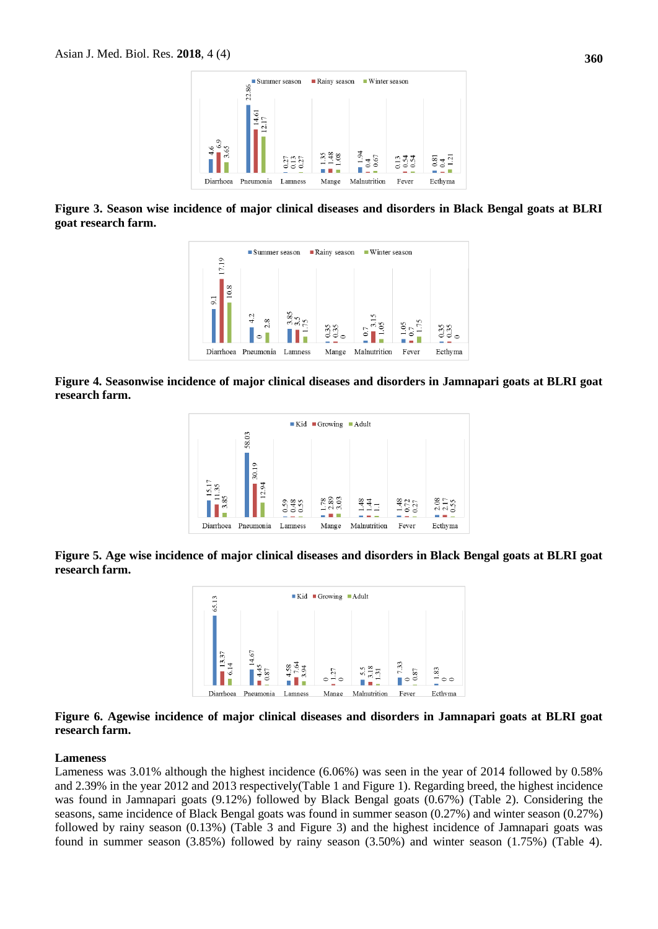

**Figure 3. Season wise incidence of major clinical diseases and disorders in Black Bengal goats at BLRI goat research farm.**



**Figure 4. Seasonwise incidence of major clinical diseases and disorders in Jamnapari goats at BLRI goat research farm.**



**Figure 5. Age wise incidence of major clinical diseases and disorders in Black Bengal goats at BLRI goat research farm.**



**Figure 6. Agewise incidence of major clinical diseases and disorders in Jamnapari goats at BLRI goat research farm.**

#### **Lameness**

Lameness was 3.01% although the highest incidence (6.06%) was seen in the year of 2014 followed by 0.58% and 2.39% in the year 2012 and 2013 respectively(Table 1 and Figure 1). Regarding breed, the highest incidence was found in Jamnapari goats (9.12%) followed by Black Bengal goats (0.67%) (Table 2). Considering the seasons, same incidence of Black Bengal goats was found in summer season (0.27%) and winter season (0.27%) followed by rainy season (0.13%) (Table 3 and Figure 3) and the highest incidence of Jamnapari goats was found in summer season (3.85%) followed by rainy season (3.50%) and winter season (1.75%) (Table 4).